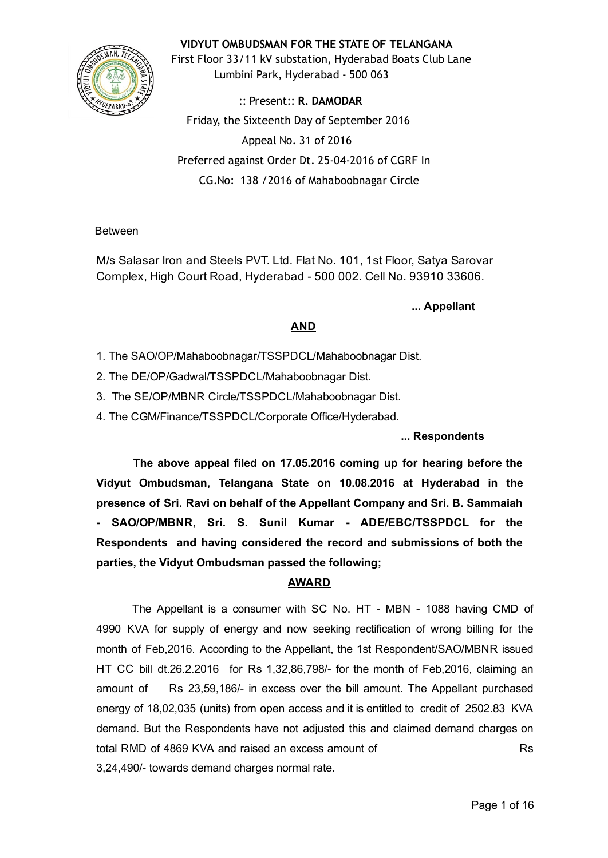VIDYUT OMBUDSMAN FOR THE STATE OF TELANGANA

First Floor 33/11 kV substation, Hyderabad Boats Club Lane Lumbini Park, Hyderabad ‐ 500 063

:: Present:: R. DAMODAR Friday, the Sixteenth Day of September 2016 Appeal No. 31 of 2016 Preferred against Order Dt. 25‐04‐2016 of CGRF In CG.No: 138 /2016 of Mahaboobnagar Circle

Between

M/s Salasar Iron and Steels PVT. Ltd. Flat No. 101, 1st Floor, Satya Sarovar Complex, High Court Road, Hyderabad 500 002. Cell No. 93910 33606.

## ... Appellant

# AND

- 1. The SAO/OP/Mahaboobnagar/TSSPDCL/Mahaboobnagar Dist.
- 2. The DE/OP/Gadwal/TSSPDCL/Mahaboobnagar Dist.
- 3. The SE/OP/MBNR Circle/TSSPDCL/Mahaboobnagar Dist.
- 4. The CGM/Finance/TSSPDCL/Corporate Office/Hyderabad.

## ... Respondents

The above appeal filed on 17.05.2016 coming up for hearing before the Vidyut Ombudsman, Telangana State on 10.08.2016 at Hyderabad in the presence of Sri. Ravi on behalf of the Appellant Company and Sri. B. Sammaiah SAO/OP/MBNR, Sri. S. Sunil Kumar - ADE/EBC/TSSPDCL for the Respondents and having considered the record and submissions of both the parties, the Vidyut Ombudsman passed the following;

## AWARD

The Appellant is a consumer with SC No. HT - MBN - 1088 having CMD of 4990 KVA for supply of energy and now seeking rectification of wrong billing for the month of Feb,2016. According to the Appellant, the 1st Respondent/SAO/MBNR issued HT CC bill dt.26.2.2016 for Rs 1,32,86,798/ for the month of Feb,2016, claiming an amount of Rs 23,59,186/ in excess over the bill amount. The Appellant purchased energy of 18,02,035 (units) from open access and it is entitled to credit of 2502.83 KVA demand. But the Respondents have not adjusted this and claimed demand charges on total RMD of 4869 KVA and raised an excess amount of Rs 3,24,490/ towards demand charges normal rate.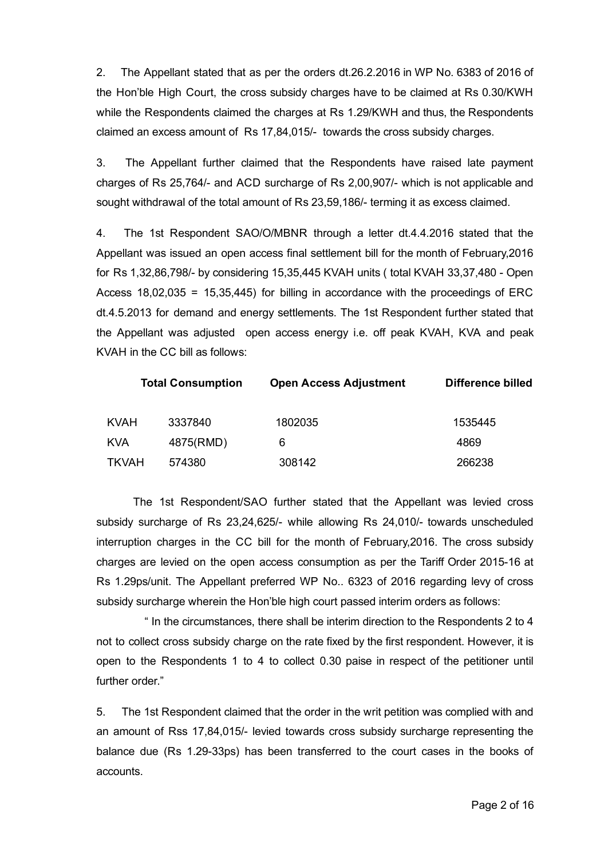2. The Appellant stated that as per the orders dt.26.2.2016 in WP No. 6383 of 2016 of the Hon'ble High Court, the cross subsidy charges have to be claimed at Rs 0.30/KWH while the Respondents claimed the charges at Rs 1.29/KWH and thus, the Respondents claimed an excess amount of Rs 17,84,015/- towards the cross subsidy charges.

3. The Appellant further claimed that the Respondents have raised late payment charges of Rs 25,764/ and ACD surcharge of Rs 2,00,907/ which is not applicable and sought withdrawal of the total amount of Rs 23,59,186/- terming it as excess claimed.

4. The 1st Respondent SAO/O/MBNR through a letter dt.4.4.2016 stated that the Appellant was issued an open access final settlement bill for the month of February,2016 for Rs 1,32,86,798/- by considering 15,35,445 KVAH units ( total KVAH 33,37,480 - Open Access  $18,02,035 = 15,35,445$  for billing in accordance with the proceedings of ERC dt.4.5.2013 for demand and energy settlements. The 1st Respondent further stated that the Appellant was adjusted open access energy i.e. off peak KVAH, KVA and peak KVAH in the CC bill as follows:

| <b>Total Consumption</b> |           | <b>Open Access Adjustment</b> | Difference billed |  |
|--------------------------|-----------|-------------------------------|-------------------|--|
| <b>KVAH</b>              | 3337840   | 1802035                       | 1535445           |  |
| <b>KVA</b>               | 4875(RMD) | 6                             | 4869              |  |
| <b>TKVAH</b>             | 574380    | 308142                        | 266238            |  |

The 1st Respondent/SAO further stated that the Appellant was levied cross subsidy surcharge of Rs 23,24,625/- while allowing Rs 24,010/- towards unscheduled interruption charges in the CC bill for the month of February,2016. The cross subsidy charges are levied on the open access consumption as per the Tariff Order 2015-16 at Rs 1.29ps/unit. The Appellant preferred WP No.. 6323 of 2016 regarding levy of cross subsidy surcharge wherein the Hon'ble high court passed interim orders as follows:

" In the circumstances, there shall be interim direction to the Respondents 2 to 4 not to collect cross subsidy charge on the rate fixed by the first respondent. However, it is open to the Respondents 1 to 4 to collect 0.30 paise in respect of the petitioner until further order."

5. The 1st Respondent claimed that the order in the writ petition was complied with and an amount of Rss 17,84,015/ levied towards cross subsidy surcharge representing the balance due (Rs 1.29-33ps) has been transferred to the court cases in the books of accounts.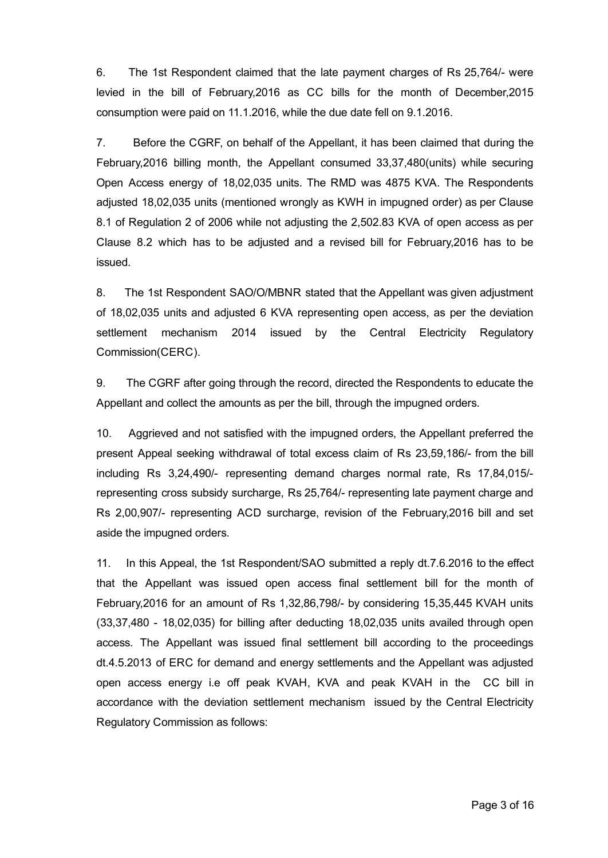6. The 1st Respondent claimed that the late payment charges of Rs 25,764/ were levied in the bill of February,2016 as CC bills for the month of December,2015 consumption were paid on 11.1.2016, while the due date fell on 9.1.2016.

7. Before the CGRF, on behalf of the Appellant, it has been claimed that during the February,2016 billing month, the Appellant consumed 33,37,480(units) while securing Open Access energy of 18,02,035 units. The RMD was 4875 KVA. The Respondents adjusted 18,02,035 units (mentioned wrongly as KWH in impugned order) as per Clause 8.1 of Regulation 2 of 2006 while not adjusting the 2,502.83 KVA of open access as per Clause 8.2 which has to be adjusted and a revised bill for February,2016 has to be issued.

8. The 1st Respondent SAO/O/MBNR stated that the Appellant was given adjustment of 18,02,035 units and adjusted 6 KVA representing open access, as per the deviation settlement mechanism 2014 issued by the Central Electricity Regulatory Commission(CERC).

9. The CGRF after going through the record, directed the Respondents to educate the Appellant and collect the amounts as per the bill, through the impugned orders.

10. Aggrieved and not satisfied with the impugned orders, the Appellant preferred the present Appeal seeking withdrawal of total excess claim of Rs 23,59,186/ from the bill including Rs 3,24,490/- representing demand charges normal rate, Rs 17,84,015/representing cross subsidy surcharge, Rs 25,764/ representing late payment charge and Rs 2,00,907/- representing ACD surcharge, revision of the February, 2016 bill and set aside the impugned orders.

11. In this Appeal, the 1st Respondent/SAO submitted a reply dt.7.6.2016 to the effect that the Appellant was issued open access final settlement bill for the month of February, 2016 for an amount of Rs 1, 32, 86, 798/- by considering 15, 35, 445 KVAH units  $(33,37,480 - 18,02,035)$  for billing after deducting  $18,02,035$  units availed through open access. The Appellant was issued final settlement bill according to the proceedings dt.4.5.2013 of ERC for demand and energy settlements and the Appellant was adjusted open access energy i.e off peak KVAH, KVA and peak KVAH in the CC bill in accordance with the deviation settlement mechanism issued by the Central Electricity Regulatory Commission as follows: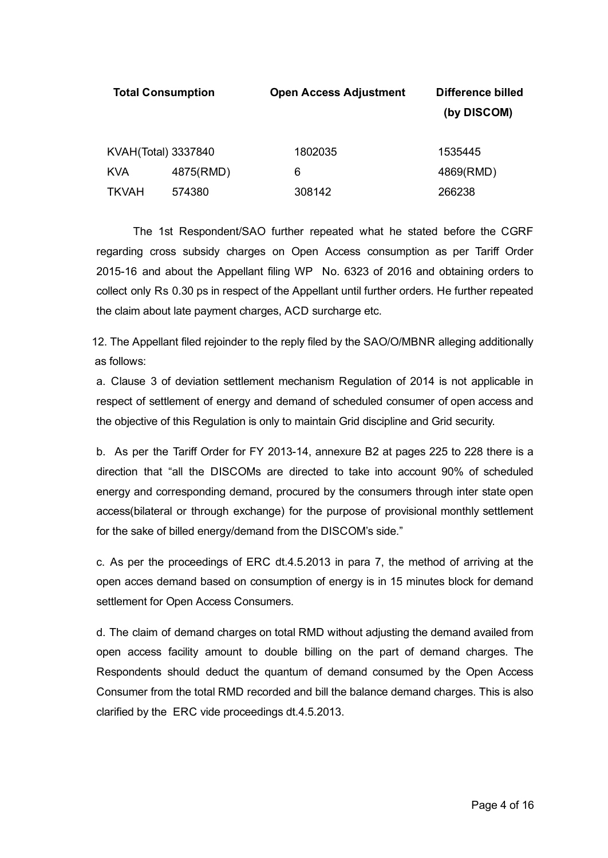|                     | <b>Total Consumption</b> | <b>Open Access Adjustment</b> | <b>Difference billed</b><br>(by DISCOM) |
|---------------------|--------------------------|-------------------------------|-----------------------------------------|
| KVAH(Total) 3337840 |                          | 1802035                       | 1535445                                 |
| <b>KVA</b>          | 4875(RMD)                | 6                             | 4869(RMD)                               |
| <b>TKVAH</b>        | 574380                   | 308142                        | 266238                                  |

The 1st Respondent/SAO further repeated what he stated before the CGRF regarding cross subsidy charges on Open Access consumption as per Tariff Order 2015-16 and about the Appellant filing WP No. 6323 of 2016 and obtaining orders to collect only Rs 0.30 ps in respect of the Appellant until further orders. He further repeated the claim about late payment charges, ACD surcharge etc.

12. The Appellant filed rejoinder to the reply filed by the SAO/O/MBNR alleging additionally as follows:

a. Clause 3 of deviation settlement mechanism Regulation of 2014 is not applicable in respect of settlement of energy and demand of scheduled consumer of open access and the objective of this Regulation is only to maintain Grid discipline and Grid security.

b. As per the Tariff Order for FY 2013-14, annexure B2 at pages 225 to 228 there is a direction that "all the DISCOMs are directed to take into account 90% of scheduled energy and corresponding demand, procured by the consumers through inter state open access(bilateral or through exchange) for the purpose of provisional monthly settlement for the sake of billed energy/demand from the DISCOM's side."

c. As per the proceedings of ERC dt.4.5.2013 in para 7, the method of arriving at the open acces demand based on consumption of energy is in 15 minutes block for demand settlement for Open Access Consumers.

d. The claim of demand charges on total RMD without adjusting the demand availed from open access facility amount to double billing on the part of demand charges. The Respondents should deduct the quantum of demand consumed by the Open Access Consumer from the total RMD recorded and bill the balance demand charges. This is also clarified by the ERC vide proceedings dt.4.5.2013.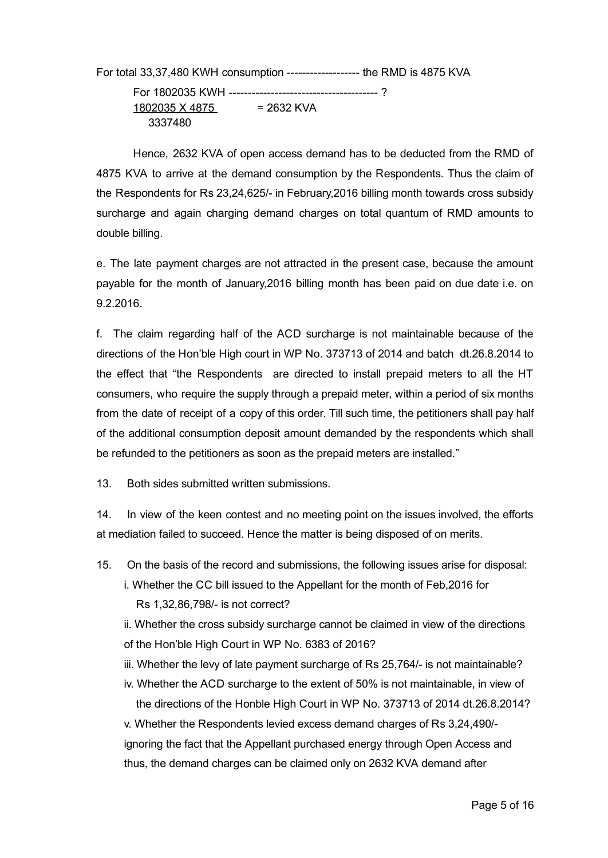For total 33,37,480 KWH consumption -------------------- the RMD is 4875 KVA For 1802035 KWH ? 1802035 X 4875 = 2632 KVA

3337480

Hence, 2632 KVA of open access demand has to be deducted from the RMD of 4875 KVA to arrive at the demand consumption by the Respondents. Thus the claim of the Respondents for Rs 23,24,625/ in February,2016 billing month towards cross subsidy surcharge and again charging demand charges on total quantum of RMD amounts to double billing.

e. The late payment charges are not attracted in the present case, because the amount payable for the month of January,2016 billing month has been paid on due date i.e. on 9.2.2016.

f. The claim regarding half of the ACD surcharge is not maintainable because of the directions of the Hon'ble High court in WP No. 373713 of 2014 and batch dt.26.8.2014 to the effect that "the Respondents are directed to install prepaid meters to all the HT consumers, who require the supply through a prepaid meter, within a period of six months from the date of receipt of a copy of this order. Till such time, the petitioners shall pay half of the additional consumption deposit amount demanded by the respondents which shall be refunded to the petitioners as soon as the prepaid meters are installed."

13. Both sides submitted written submissions.

14. In view of the keen contest and no meeting point on the issues involved, the efforts at mediation failed to succeed. Hence the matter is being disposed of on merits.

- 15. On the basis of the record and submissions, the following issues arise for disposal:
	- i. Whether the CC bill issued to the Appellant for the month of Feb,2016 for Rs 1,32,86,798/- is not correct?
	- ii. Whether the cross subsidy surcharge cannot be claimed in view of the directions of the Hon'ble High Court in WP No. 6383 of 2016?
	- iii. Whether the levy of late payment surcharge of Rs 25,764/ is not maintainable?
	- iv. Whether the ACD surcharge to the extent of 50% is not maintainable, in view of the directions of the Honble High Court in WP No. 373713 of 2014 dt.26.8.2014?

v. Whether the Respondents levied excess demand charges of Rs 3,24,490/ ignoring the fact that the Appellant purchased energy through Open Access and thus, the demand charges can be claimed only on 2632 KVA demand after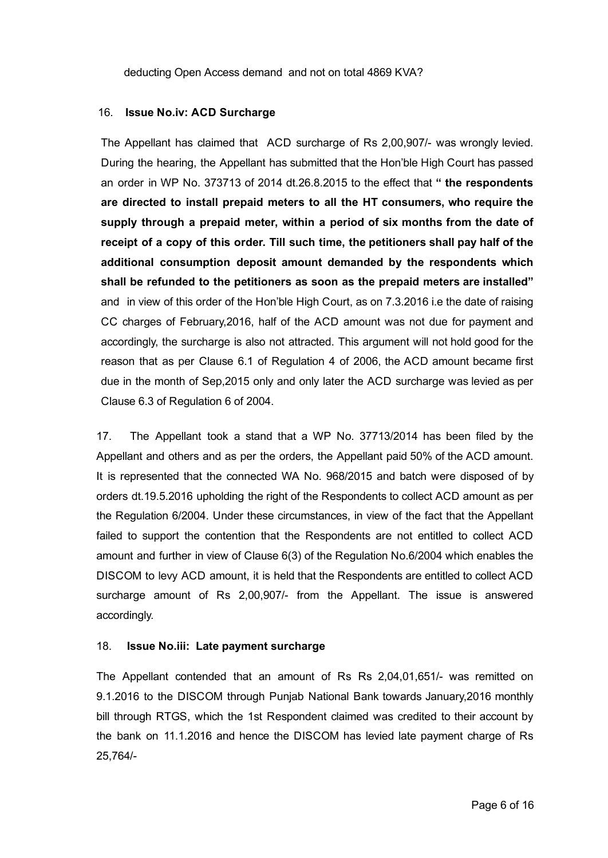deducting Open Access demand and not on total 4869 KVA?

### 16. Issue No.iv: ACD Surcharge

The Appellant has claimed that ACD surcharge of Rs 2,00,907/ was wrongly levied. During the hearing, the Appellant has submitted that the Hon'ble High Court has passed an order in WP No. 373713 of 2014 dt.26.8.2015 to the effect that " the respondents are directed to install prepaid meters to all the HT consumers, who require the supply through a prepaid meter, within a period of six months from the date of receipt of a copy of this order. Till such time, the petitioners shall pay half of the additional consumption deposit amount demanded by the respondents which shall be refunded to the petitioners as soon as the prepaid meters are installed" and in view of this order of the Hon'ble High Court, as on 7.3.2016 i.e the date of raising CC charges of February,2016, half of the ACD amount was not due for payment and accordingly, the surcharge is also not attracted. This argument will not hold good for the reason that as per Clause 6.1 of Regulation 4 of 2006, the ACD amount became first due in the month of Sep,2015 only and only later the ACD surcharge was levied as per Clause 6.3 of Regulation 6 of 2004.

17. The Appellant took a stand that a WP No. 37713/2014 has been filed by the Appellant and others and as per the orders, the Appellant paid 50% of the ACD amount. It is represented that the connected WA No. 968/2015 and batch were disposed of by orders dt.19.5.2016 upholding the right of the Respondents to collect ACD amount as per the Regulation 6/2004. Under these circumstances, in view of the fact that the Appellant failed to support the contention that the Respondents are not entitled to collect ACD amount and further in view of Clause 6(3) of the Regulation No.6/2004 which enables the DISCOM to levy ACD amount, it is held that the Respondents are entitled to collect ACD surcharge amount of Rs 2,00,907/ from the Appellant. The issue is answered accordingly.

#### 18. Issue No.iii: Late payment surcharge

The Appellant contended that an amount of Rs Rs 2,04,01,651/ was remitted on 9.1.2016 to the DISCOM through Punjab National Bank towards January,2016 monthly bill through RTGS, which the 1st Respondent claimed was credited to their account by the bank on 11.1.2016 and hence the DISCOM has levied late payment charge of Rs 25,764/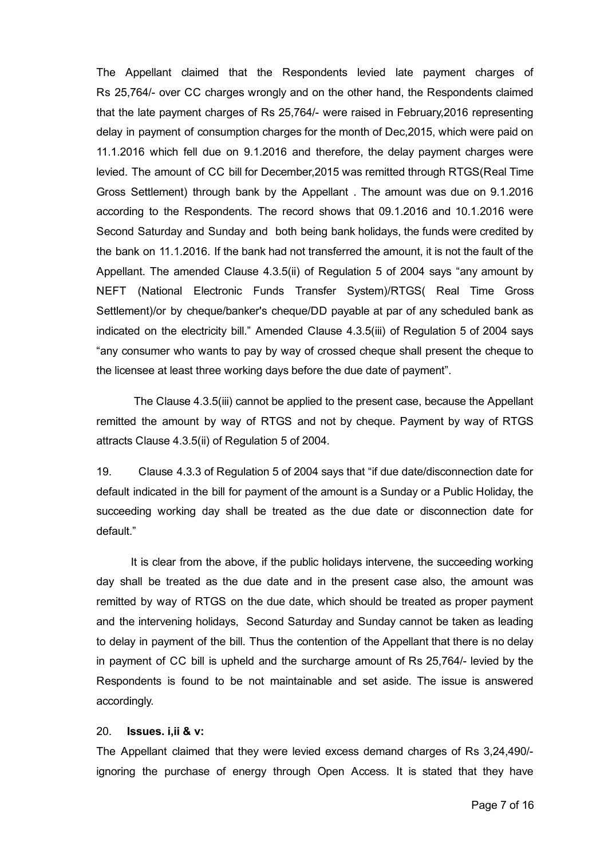The Appellant claimed that the Respondents levied late payment charges of Rs 25,764/ over CC charges wrongly and on the other hand, the Respondents claimed that the late payment charges of Rs 25,764/ were raised in February,2016 representing delay in payment of consumption charges for the month of Dec,2015, which were paid on 11.1.2016 which fell due on 9.1.2016 and therefore, the delay payment charges were levied. The amount of CC bill for December,2015 was remitted through RTGS(Real Time Gross Settlement) through bank by the Appellant . The amount was due on 9.1.2016 according to the Respondents. The record shows that 09.1.2016 and 10.1.2016 were Second Saturday and Sunday and both being bank holidays, the funds were credited by the bank on 11.1.2016. If the bank had not transferred the amount, it is not the fault of the Appellant. The amended Clause 4.3.5(ii) of Regulation 5 of 2004 says "any amount by NEFT (National Electronic Funds Transfer System)/RTGS( Real Time Gross Settlement)/or by cheque/banker's cheque/DD payable at par of any scheduled bank as indicated on the electricity bill." Amended Clause 4.3.5(iii) of Regulation 5 of 2004 says "any consumer who wants to pay by way of crossed cheque shall present the cheque to the licensee at least three working days before the due date of payment".

The Clause 4.3.5(iii) cannot be applied to the present case, because the Appellant remitted the amount by way of RTGS and not by cheque. Payment by way of RTGS attracts Clause 4.3.5(ii) of Regulation 5 of 2004.

19. Clause 4.3.3 of Regulation 5 of 2004 says that "if due date/disconnection date for default indicated in the bill for payment of the amount is a Sunday or a Public Holiday, the succeeding working day shall be treated as the due date or disconnection date for default."

It is clear from the above, if the public holidays intervene, the succeeding working day shall be treated as the due date and in the present case also, the amount was remitted by way of RTGS on the due date, which should be treated as proper payment and the intervening holidays, Second Saturday and Sunday cannot be taken as leading to delay in payment of the bill. Thus the contention of the Appellant that there is no delay in payment of CC bill is upheld and the surcharge amount of Rs 25,764/ levied by the Respondents is found to be not maintainable and set aside. The issue is answered accordingly.

### 20. Issues. i,ii & v:

The Appellant claimed that they were levied excess demand charges of Rs 3,24,490/ ignoring the purchase of energy through Open Access. It is stated that they have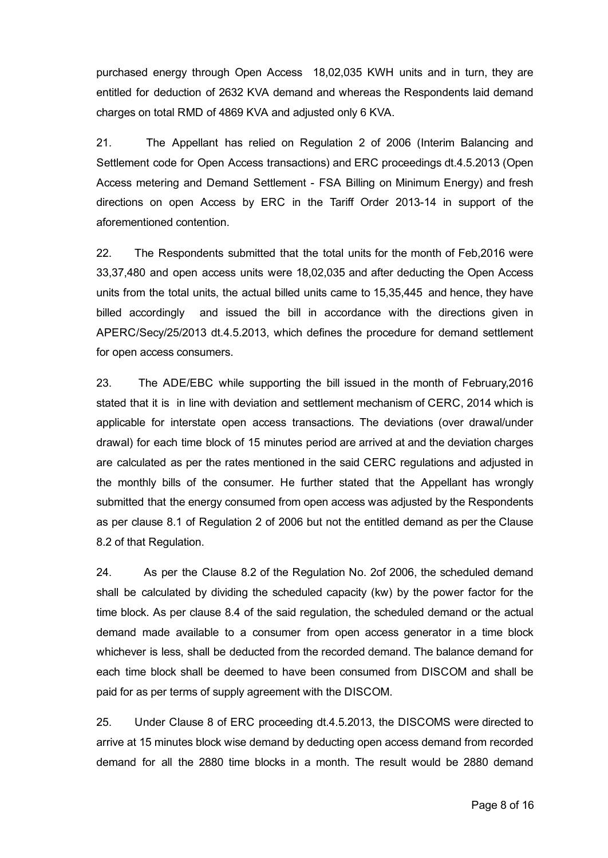purchased energy through Open Access 18,02,035 KWH units and in turn, they are entitled for deduction of 2632 KVA demand and whereas the Respondents laid demand charges on total RMD of 4869 KVA and adjusted only 6 KVA.

21. The Appellant has relied on Regulation 2 of 2006 (Interim Balancing and Settlement code for Open Access transactions) and ERC proceedings dt.4.5.2013 (Open Access metering and Demand Settlement FSA Billing on Minimum Energy) and fresh directions on open Access by ERC in the Tariff Order 2013-14 in support of the aforementioned contention.

22. The Respondents submitted that the total units for the month of Feb,2016 were 33,37,480 and open access units were 18,02,035 and after deducting the Open Access units from the total units, the actual billed units came to 15,35,445 and hence, they have billed accordingly and issued the bill in accordance with the directions given in APERC/Secy/25/2013 dt.4.5.2013, which defines the procedure for demand settlement for open access consumers.

23. The ADE/EBC while supporting the bill issued in the month of February,2016 stated that it is in line with deviation and settlement mechanism of CERC, 2014 which is applicable for interstate open access transactions. The deviations (over drawal/under drawal) for each time block of 15 minutes period are arrived at and the deviation charges are calculated as per the rates mentioned in the said CERC regulations and adjusted in the monthly bills of the consumer. He further stated that the Appellant has wrongly submitted that the energy consumed from open access was adjusted by the Respondents as per clause 8.1 of Regulation 2 of 2006 but not the entitled demand as per the Clause 8.2 of that Regulation.

24. As per the Clause 8.2 of the Regulation No. 2of 2006, the scheduled demand shall be calculated by dividing the scheduled capacity (kw) by the power factor for the time block. As per clause 8.4 of the said regulation, the scheduled demand or the actual demand made available to a consumer from open access generator in a time block whichever is less, shall be deducted from the recorded demand. The balance demand for each time block shall be deemed to have been consumed from DISCOM and shall be paid for as per terms of supply agreement with the DISCOM.

25. Under Clause 8 of ERC proceeding dt.4.5.2013, the DISCOMS were directed to arrive at 15 minutes block wise demand by deducting open access demand from recorded demand for all the 2880 time blocks in a month. The result would be 2880 demand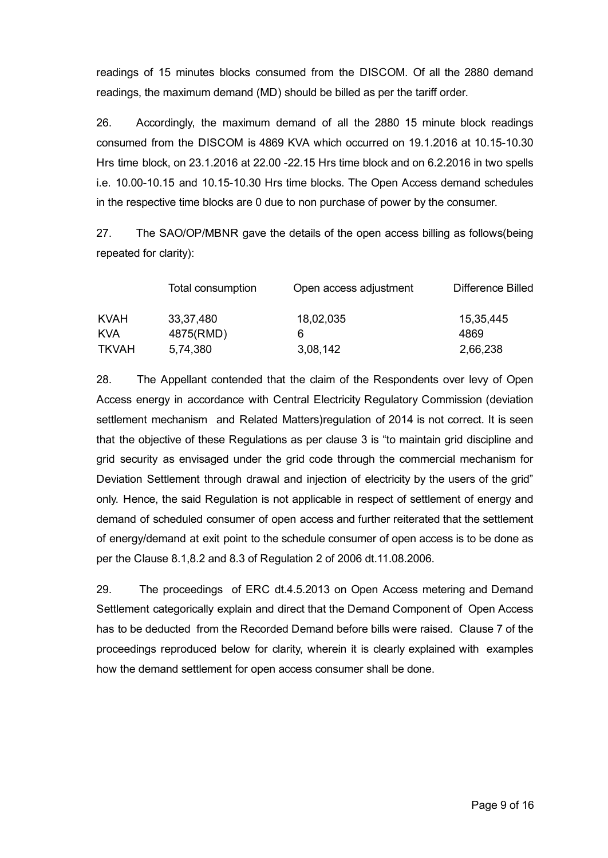readings of 15 minutes blocks consumed from the DISCOM. Of all the 2880 demand readings, the maximum demand (MD) should be billed as per the tariff order.

26. Accordingly, the maximum demand of all the 2880 15 minute block readings consumed from the DISCOM is 4869 KVA which occurred on  $19.1.2016$  at  $10.15-10.30$ Hrs time block, on 23.1.2016 at 22.00 22.15 Hrs time block and on 6.2.2016 in two spells i.e. 10.00-10.15 and 10.15-10.30 Hrs time blocks. The Open Access demand schedules in the respective time blocks are 0 due to non purchase of power by the consumer.

27. The SAO/OP/MBNR gave the details of the open access billing as follows(being repeated for clarity):

|              | Total consumption | Open access adjustment | Difference Billed |
|--------------|-------------------|------------------------|-------------------|
| <b>KVAH</b>  | 33,37,480         | 18,02,035              | 15,35,445         |
| <b>KVA</b>   | 4875(RMD)         | 6                      | 4869              |
| <b>TKVAH</b> | 5,74,380          | 3,08,142               | 2,66,238          |

28. The Appellant contended that the claim of the Respondents over levy of Open Access energy in accordance with Central Electricity Regulatory Commission (deviation settlement mechanism and Related Matters)regulation of 2014 is not correct. It is seen that the objective of these Regulations as per clause 3 is "to maintain grid discipline and grid security as envisaged under the grid code through the commercial mechanism for Deviation Settlement through drawal and injection of electricity by the users of the grid" only. Hence, the said Regulation is not applicable in respect of settlement of energy and demand of scheduled consumer of open access and further reiterated that the settlement of energy/demand at exit point to the schedule consumer of open access is to be done as per the Clause 8.1,8.2 and 8.3 of Regulation 2 of 2006 dt.11.08.2006.

29. The proceedings of ERC dt.4.5.2013 on Open Access metering and Demand Settlement categorically explain and direct that the Demand Component of Open Access has to be deducted from the Recorded Demand before bills were raised. Clause 7 of the proceedings reproduced below for clarity, wherein it is clearly explained with examples how the demand settlement for open access consumer shall be done.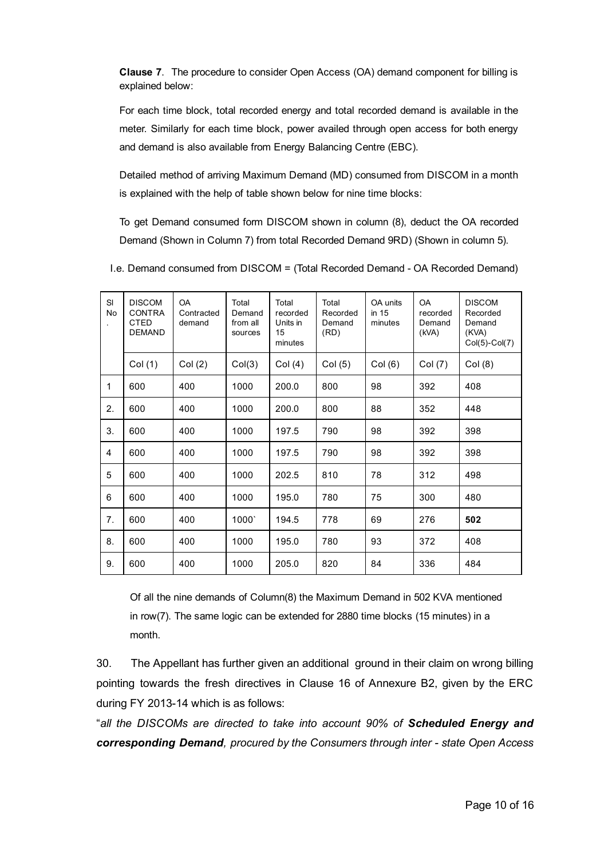Clause 7. The procedure to consider Open Access (OA) demand component for billing is explained below:

For each time block, total recorded energy and total recorded demand is available in the meter. Similarly for each time block, power availed through open access for both energy and demand is also available from Energy Balancing Centre (EBC).

Detailed method of arriving Maximum Demand (MD) consumed from DISCOM in a month is explained with the help of table shown below for nine time blocks:

To get Demand consumed form DISCOM shown in column (8), deduct the OA recorded Demand (Shown in Column 7) from total Recorded Demand 9RD) (Shown in column 5).

| SI<br>No       | <b>DISCOM</b><br><b>CONTRA</b><br><b>CTED</b><br><b>DEMAND</b> | <b>OA</b><br>Contracted<br>demand | Total<br>Demand<br>from all<br>sources | Total<br>recorded<br>Units in<br>15<br>minutes | Total<br>Recorded<br>Demand<br>(RD) | OA units<br>in $15$<br>minutes | <b>OA</b><br>recorded<br>Demand<br>(kVA) | <b>DISCOM</b><br>Recorded<br>Demand<br>(KVA)<br>$Col(5)-Col(7)$ |
|----------------|----------------------------------------------------------------|-----------------------------------|----------------------------------------|------------------------------------------------|-------------------------------------|--------------------------------|------------------------------------------|-----------------------------------------------------------------|
|                | Col(1)                                                         | Col (2)                           | Col(3)                                 | Col(4)                                         | Col(5)                              | Col(6)                         | Col (7)                                  | Col(8)                                                          |
| $\mathbf{1}$   | 600                                                            | 400                               | 1000                                   | 200.0                                          | 800                                 | 98                             | 392                                      | 408                                                             |
| 2.             | 600                                                            | 400                               | 1000                                   | 200.0                                          | 800                                 | 88                             | 352                                      | 448                                                             |
| 3.             | 600                                                            | 400                               | 1000                                   | 197.5                                          | 790                                 | 98                             | 392                                      | 398                                                             |
| $\overline{4}$ | 600                                                            | 400                               | 1000                                   | 197.5                                          | 790                                 | 98                             | 392                                      | 398                                                             |
| 5              | 600                                                            | 400                               | 1000                                   | 202.5                                          | 810                                 | 78                             | 312                                      | 498                                                             |
| 6              | 600                                                            | 400                               | 1000                                   | 195.0                                          | 780                                 | 75                             | 300                                      | 480                                                             |
| 7.             | 600                                                            | 400                               | 1000'                                  | 194.5                                          | 778                                 | 69                             | 276                                      | 502                                                             |
| 8.             | 600                                                            | 400                               | 1000                                   | 195.0                                          | 780                                 | 93                             | 372                                      | 408                                                             |
| 9.             | 600                                                            | 400                               | 1000                                   | 205.0                                          | 820                                 | 84                             | 336                                      | 484                                                             |

I.e. Demand consumed from DISCOM = (Total Recorded Demand - OA Recorded Demand)

Of all the nine demands of Column(8) the Maximum Demand in 502 KVA mentioned in row(7). The same logic can be extended for 2880 time blocks (15 minutes) in a month.

30. The Appellant has further given an additional ground in their claim on wrong billing pointing towards the fresh directives in Clause 16 of Annexure B2, given by the ERC during FY 2013-14 which is as follows:

"*all the DISCOMs are directed to take into account 90% of Scheduled Energy and corresponding Demand, procured by the Consumers through inter state Open Access*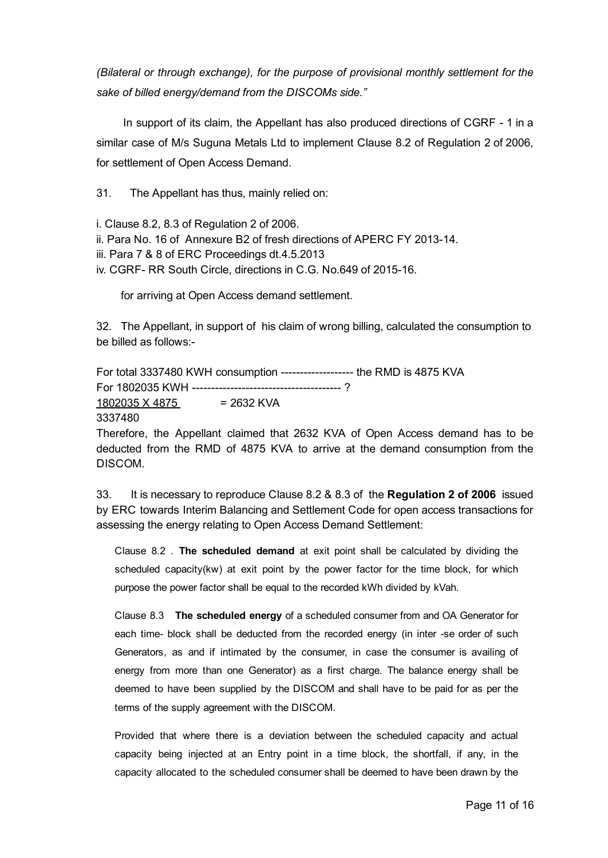*(Bilateral or through exchange), for the purpose of provisional monthly settlement for the sake of billed energy/demand from the DISCOMs side."*

In support of its claim, the Appellant has also produced directions of CGRF - 1 in a similar case of M/s Suguna Metals Ltd to implement Clause 8.2 of Regulation 2 of 2006, for settlement of Open Access Demand.

31. The Appellant has thus, mainly relied on:

i. Clause 8.2, 8.3 of Regulation 2 of 2006.

ii. Para No. 16 of Annexure B2 of fresh directions of APERC FY 2013-14.

iii. Para 7 & 8 of ERC Proceedings dt.4.5.2013

iv. CGRF- RR South Circle, directions in C.G. No.649 of 2015-16.

for arriving at Open Access demand settlement.

32. The Appellant, in support of his claim of wrong billing, calculated the consumption to be billed as follows:

For total 3337480 KWH consumption ------------------- the RMD is 4875 KVA For 1802035 KWH ?  $1802035 \times 4875 = 2632$  KVA

3337480

Therefore, the Appellant claimed that 2632 KVA of Open Access demand has to be deducted from the RMD of 4875 KVA to arrive at the demand consumption from the DISCOM.

33. It is necessary to reproduce Clause 8.2 & 8.3 of the Regulation 2 of 2006 issued by ERC towards Interim Balancing and Settlement Code for open access transactions for assessing the energy relating to Open Access Demand Settlement:

Clause 8.2 . The scheduled demand at exit point shall be calculated by dividing the scheduled capacity(kw) at exit point by the power factor for the time block, for which purpose the power factor shall be equal to the recorded kWh divided by kVah.

Clause 8.3 The scheduled energy of a scheduled consumer from and OA Generator for each time- block shall be deducted from the recorded energy (in inter -se order of such Generators, as and if intimated by the consumer, in case the consumer is availing of energy from more than one Generator) as a first charge. The balance energy shall be deemed to have been supplied by the DISCOM and shall have to be paid for as per the terms of the supply agreement with the DISCOM.

Provided that where there is a deviation between the scheduled capacity and actual capacity being injected at an Entry point in a time block, the shortfall, if any, in the capacity allocated to the scheduled consumer shall be deemed to have been drawn by the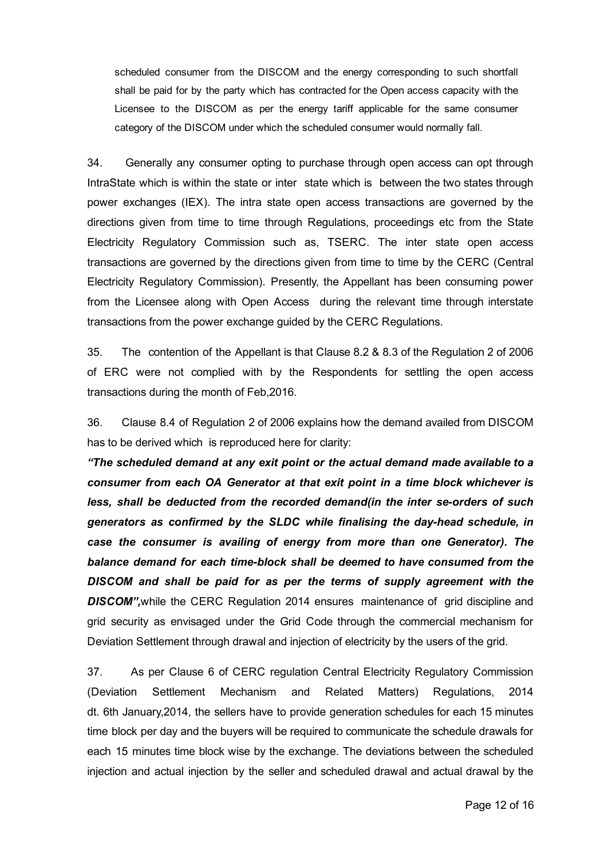scheduled consumer from the DISCOM and the energy corresponding to such shortfall shall be paid for by the party which has contracted for the Open access capacity with the Licensee to the DISCOM as per the energy tariff applicable for the same consumer category of the DISCOM under which the scheduled consumer would normally fall.

34. Generally any consumer opting to purchase through open access can opt through IntraState which is within the state or inter state which is between the two states through power exchanges (IEX). The intra state open access transactions are governed by the directions given from time to time through Regulations, proceedings etc from the State Electricity Regulatory Commission such as, TSERC. The inter state open access transactions are governed by the directions given from time to time by the CERC (Central Electricity Regulatory Commission). Presently, the Appellant has been consuming power from the Licensee along with Open Access during the relevant time through interstate transactions from the power exchange guided by the CERC Regulations.

35. The contention of the Appellant is that Clause 8.2 & 8.3 of the Regulation 2 of 2006 of ERC were not complied with by the Respondents for settling the open access transactions during the month of Feb,2016.

36. Clause 8.4 of Regulation 2 of 2006 explains how the demand availed from DISCOM has to be derived which is reproduced here for clarity:

*"The scheduled demand at any exit point or the actual demand made available to a consumer from each OA Generator at that exit point in a time block whichever is less, shall be deducted from the recorded demand(in the inter seorders of such generators as confirmed by the SLDC while finalising the dayhead schedule, in case the consumer is availing of energy from more than one Generator). The balance demand for each timeblock shall be deemed to have consumed from the DISCOM and shall be paid for as per the terms of supply agreement with the DISCOM",*while the CERC Regulation 2014 ensures maintenance of grid discipline and grid security as envisaged under the Grid Code through the commercial mechanism for Deviation Settlement through drawal and injection of electricity by the users of the grid.

37. As per Clause 6 of CERC regulation Central Electricity Regulatory Commission (Deviation Settlement Mechanism and Related Matters) Regulations, 2014 dt. 6th January,2014, the sellers have to provide generation schedules for each 15 minutes time block per day and the buyers will be required to communicate the schedule drawals for each 15 minutes time block wise by the exchange. The deviations between the scheduled injection and actual injection by the seller and scheduled drawal and actual drawal by the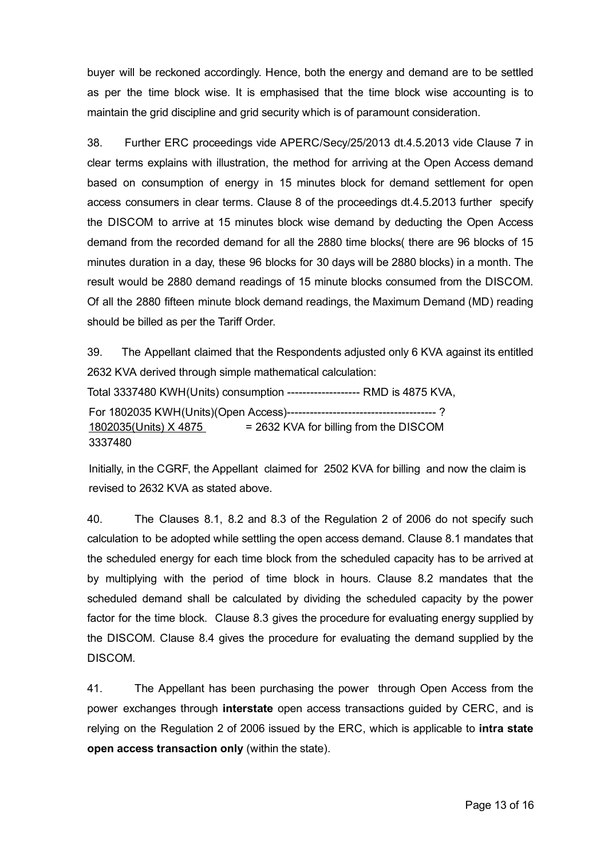buyer will be reckoned accordingly. Hence, both the energy and demand are to be settled as per the time block wise. It is emphasised that the time block wise accounting is to maintain the grid discipline and grid security which is of paramount consideration.

38. Further ERC proceedings vide APERC/Secy/25/2013 dt.4.5.2013 vide Clause 7 in clear terms explains with illustration, the method for arriving at the Open Access demand based on consumption of energy in 15 minutes block for demand settlement for open access consumers in clear terms. Clause 8 of the proceedings dt.4.5.2013 further specify the DISCOM to arrive at 15 minutes block wise demand by deducting the Open Access demand from the recorded demand for all the 2880 time blocks( there are 96 blocks of 15 minutes duration in a day, these 96 blocks for 30 days will be 2880 blocks) in a month. The result would be 2880 demand readings of 15 minute blocks consumed from the DISCOM. Of all the 2880 fifteen minute block demand readings, the Maximum Demand (MD) reading should be billed as per the Tariff Order.

39. The Appellant claimed that the Respondents adjusted only 6 KVA against its entitled 2632 KVA derived through simple mathematical calculation: Total 3337480 KWH(Units) consumption ------------------- RMD is 4875 KVA, For 1802035 KWH(Units)(Open Access) ?

 $1802035$ (Units) X 4875 = 2632 KVA for billing from the DISCOM 3337480

Initially, in the CGRF, the Appellant claimed for 2502 KVA for billing and now the claim is revised to 2632 KVA as stated above.

40. The Clauses 8.1, 8.2 and 8.3 of the Regulation 2 of 2006 do not specify such calculation to be adopted while settling the open access demand. Clause 8.1 mandates that the scheduled energy for each time block from the scheduled capacity has to be arrived at by multiplying with the period of time block in hours. Clause 8.2 mandates that the scheduled demand shall be calculated by dividing the scheduled capacity by the power factor for the time block. Clause 8.3 gives the procedure for evaluating energy supplied by the DISCOM. Clause 8.4 gives the procedure for evaluating the demand supplied by the DISCOM.

41. The Appellant has been purchasing the power through Open Access from the power exchanges through interstate open access transactions guided by CERC, and is relying on the Regulation 2 of 2006 issued by the ERC, which is applicable to intra state open access transaction only (within the state).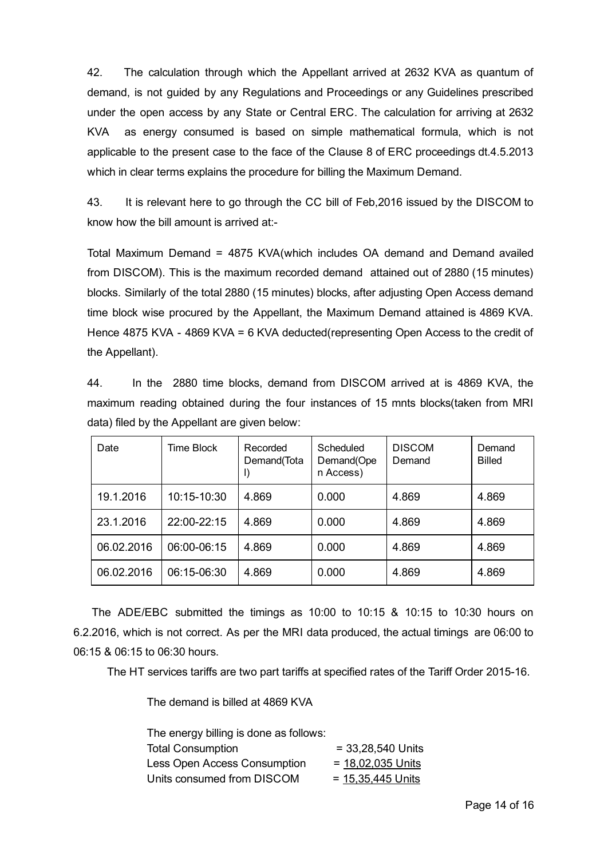42. The calculation through which the Appellant arrived at 2632 KVA as quantum of demand, is not guided by any Regulations and Proceedings or any Guidelines prescribed under the open access by any State or Central ERC. The calculation for arriving at 2632 KVA as energy consumed is based on simple mathematical formula, which is not applicable to the present case to the face of the Clause 8 of ERC proceedings dt.4.5.2013 which in clear terms explains the procedure for billing the Maximum Demand.

43. It is relevant here to go through the CC bill of Feb,2016 issued by the DISCOM to know how the bill amount is arrived at:

Total Maximum Demand = 4875 KVA(which includes OA demand and Demand availed from DISCOM). This is the maximum recorded demand attained out of 2880 (15 minutes) blocks. Similarly of the total 2880 (15 minutes) blocks, after adjusting Open Access demand time block wise procured by the Appellant, the Maximum Demand attained is 4869 KVA. Hence 4875 KVA - 4869 KVA = 6 KVA deducted(representing Open Access to the credit of the Appellant).

44. In the 2880 time blocks, demand from DISCOM arrived at is 4869 KVA, the maximum reading obtained during the four instances of 15 mnts blocks(taken from MRI data) filed by the Appellant are given below:

| Date       | Time Block  | Recorded<br>Demand(Tota<br>I) | Scheduled<br>Demand(Ope<br>n Access) | <b>DISCOM</b><br>Demand | Demand<br><b>Billed</b> |
|------------|-------------|-------------------------------|--------------------------------------|-------------------------|-------------------------|
| 19.1.2016  | 10:15-10:30 | 4.869                         | 0.000                                | 4.869                   | 4.869                   |
| 23.1.2016  | 22:00-22:15 | 4.869                         | 0.000                                | 4.869                   | 4.869                   |
| 06.02.2016 | 06:00-06:15 | 4.869                         | 0.000                                | 4.869                   | 4.869                   |
| 06.02.2016 | 06:15-06:30 | 4.869                         | 0.000                                | 4.869                   | 4.869                   |

The ADE/EBC submitted the timings as 10:00 to 10:15 & 10:15 to 10:30 hours on 6.2.2016, which is not correct. As per the MRI data produced, the actual timings are 06:00 to 06:15 & 06:15 to 06:30 hours.

The HT services tariffs are two part tariffs at specified rates of the Tariff Order 2015-16.

The demand is billed at 4869 KVA

| The energy billing is done as follows: |                     |
|----------------------------------------|---------------------|
| <b>Total Consumption</b>               | $= 33,28,540$ Units |
| <b>Less Open Access Consumption</b>    | $= 18.02.035$ Units |
| Units consumed from DISCOM             | $= 15,35,445$ Units |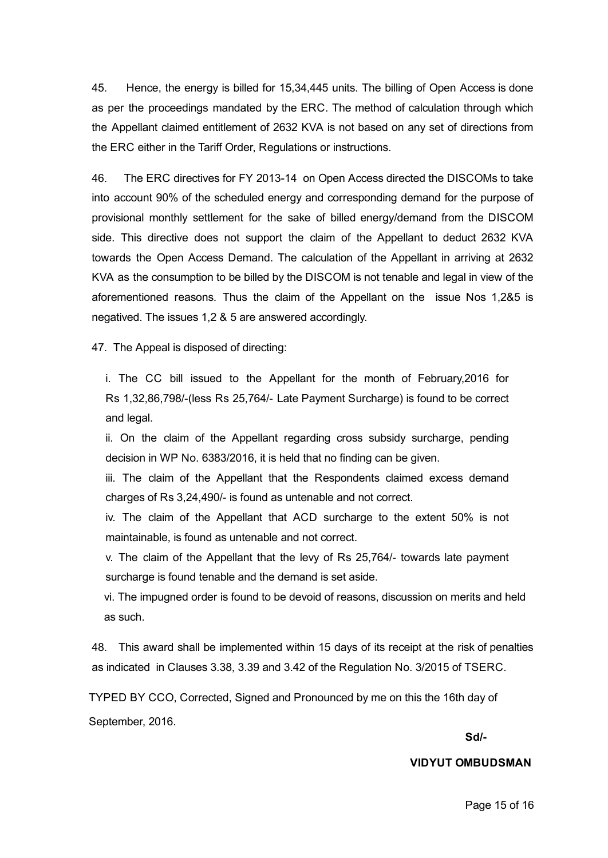45. Hence, the energy is billed for 15,34,445 units. The billing of Open Access is done as per the proceedings mandated by the ERC. The method of calculation through which the Appellant claimed entitlement of 2632 KVA is not based on any set of directions from the ERC either in the Tariff Order, Regulations or instructions.

46. The ERC directives for FY 2013-14 on Open Access directed the DISCOMs to take into account 90% of the scheduled energy and corresponding demand for the purpose of provisional monthly settlement for the sake of billed energy/demand from the DISCOM side. This directive does not support the claim of the Appellant to deduct 2632 KVA towards the Open Access Demand. The calculation of the Appellant in arriving at 2632 KVA as the consumption to be billed by the DISCOM is not tenable and legal in view of the aforementioned reasons. Thus the claim of the Appellant on the issue Nos 1,2&5 is negatived. The issues 1,2 & 5 are answered accordingly.

47. The Appeal is disposed of directing:

i. The CC bill issued to the Appellant for the month of February,2016 for Rs 1,32,86,798/(less Rs 25,764/ Late Payment Surcharge) is found to be correct and legal.

ii. On the claim of the Appellant regarding cross subsidy surcharge, pending decision in WP No. 6383/2016, it is held that no finding can be given.

iii. The claim of the Appellant that the Respondents claimed excess demand charges of Rs 3,24,490/- is found as untenable and not correct.

iv. The claim of the Appellant that ACD surcharge to the extent 50% is not maintainable, is found as untenable and not correct.

v. The claim of the Appellant that the levy of Rs 25,764/ towards late payment surcharge is found tenable and the demand is set aside.

vi. The impugned order is found to be devoid of reasons, discussion on merits and held as such.

48. This award shall be implemented within 15 days of its receipt at the risk of penalties as indicated in Clauses 3.38, 3.39 and 3.42 of the Regulation No. 3/2015 of TSERC.

TYPED BY CCO, Corrected, Signed and Pronounced by me on this the 16th day of September, 2016.

## Sd/

#### VIDYUT OMBUDSMAN